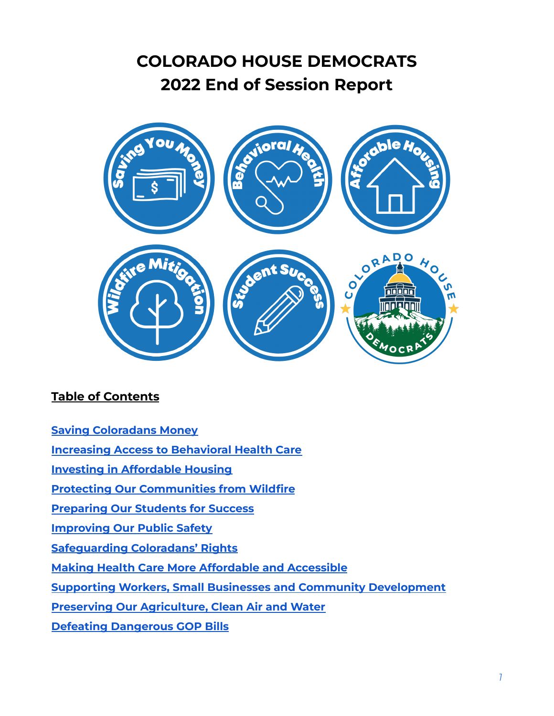# **COLORADO HOUSE DEMOCRATS 2022 End of Session Report**



### **Table of Contents**

| <b>Saving Coloradans Money</b> |
|--------------------------------|
|--------------------------------|

**Increasing Access to [Behavioral](https://drive.google.com/file/d/174Nip9cfOPrYCTMOToKrPJDOAOAe1CJi/view?usp=sharing) Health Care**

**Investing in [Affordable](https://drive.google.com/file/d/11KbhaYKv48kHkim1otpAkAE_NacO3X45/view?usp=sharing) Housing**

**Protecting Our [Communities](https://drive.google.com/file/d/1gXivCmOag0dtLgF-YRZjdqFEmTsXT4L5/view?usp=sharing) from Wildfire**

**[Preparing](https://drive.google.com/file/d/1ittkWyUuELf01LQPbYsvS_kLONmvuHTD/view?usp=sharing) Our Students for Success**

**[Improving](#page-2-0) Our Public Safety**

**[Safeguarding](#page-3-0) Coloradans' Rights**

**Making Health Care More [Affordable](#page-7-0) and Accessible**

**Supporting Workers, Small Businesses and Community [Development](#page-5-0)**

**Preserving Our [Agriculture,](#page-9-0) Clean Air and Water**

**Defeating [Dangerous](#page-11-0) GOP Bills**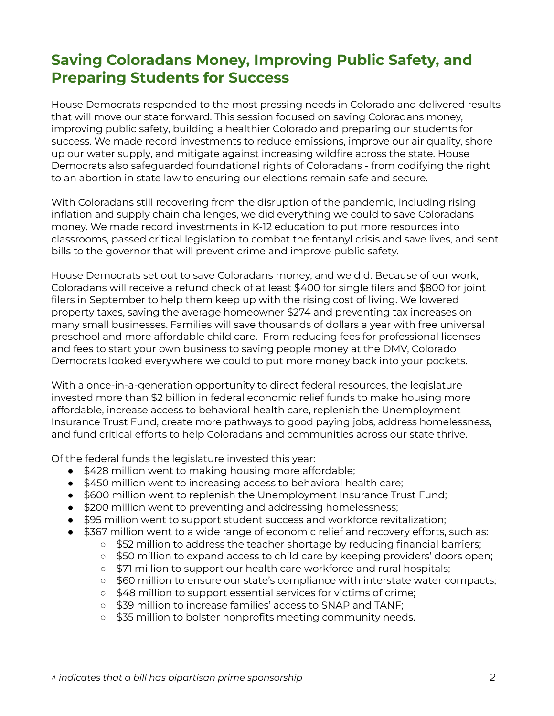# **Saving Coloradans Money, Improving Public Safety, and Preparing Students for Success**

House Democrats responded to the most pressing needs in Colorado and delivered results that will move our state forward. This session focused on saving Coloradans money, improving public safety, building a healthier Colorado and preparing our students for success. We made record investments to reduce emissions, improve our air quality, shore up our water supply, and mitigate against increasing wildfire across the state. House Democrats also safeguarded foundational rights of Coloradans - from codifying the right to an abortion in state law to ensuring our elections remain safe and secure.

With Coloradans still recovering from the disruption of the pandemic, including rising inflation and supply chain challenges, we did everything we could to save Coloradans money. We made record investments in K-12 education to put more resources into classrooms, passed critical legislation to combat the fentanyl crisis and save lives, and sent bills to the governor that will prevent crime and improve public safety.

House Democrats set out to save Coloradans money, and we did. Because of our work, Coloradans will receive a refund check of at least \$400 for single filers and \$800 for joint filers in September to help them keep up with the rising cost of living. We lowered property taxes, saving the average homeowner \$274 and preventing tax increases on many small businesses. Families will save thousands of dollars a year with free universal preschool and more affordable child care. From reducing fees for professional licenses and fees to start your own business to saving people money at the DMV, Colorado Democrats looked everywhere we could to put more money back into your pockets.

With a once-in-a-generation opportunity to direct federal resources, the legislature invested more than \$2 billion in federal economic relief funds to make housing more affordable, increase access to behavioral health care, replenish the Unemployment Insurance Trust Fund, create more pathways to good paying jobs, address homelessness, and fund critical efforts to help Coloradans and communities across our state thrive.

Of the federal funds the legislature invested this year:

- \$428 million went to making housing more affordable;
- \$450 million went to increasing access to behavioral health care;
- \$600 million went to replenish the Unemployment Insurance Trust Fund;
- \$200 million went to preventing and addressing homelessness;
- \$95 million went to support student success and workforce revitalization;
- \$367 million went to a wide range of economic relief and recovery efforts, such as:
	- o \$52 million to address the teacher shortage by reducing financial barriers;
		- \$50 million to expand access to child care by keeping providers' doors open;
		- \$71 million to support our health care workforce and rural hospitals;
		- \$60 million to ensure our state's compliance with interstate water compacts;
		- \$48 million to support essential services for victims of crime;
		- \$39 million to increase families' access to SNAP and TANF;
		- \$35 million to bolster nonprofits meeting community needs.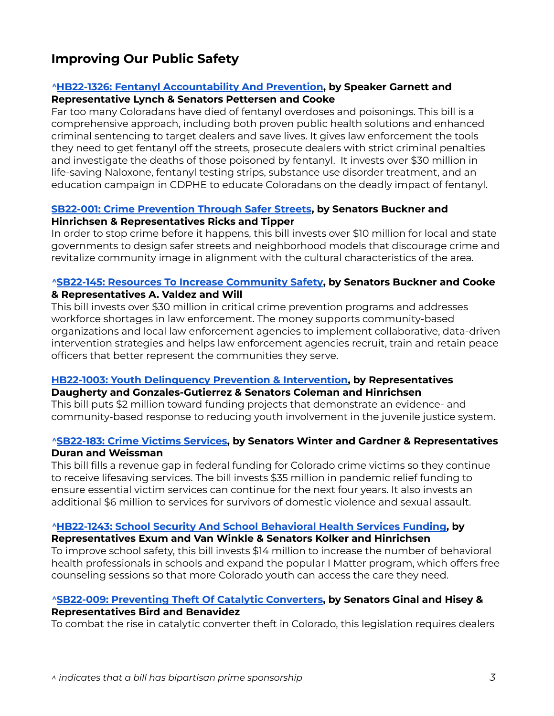### <span id="page-2-0"></span>**Improving Our Public Safety**

#### *^***HB22-1326: Fentanyl [Accountability](https://leg.colorado.gov/bills/hb22-1326) And Prevention, by Speaker Garnett and Representative Lynch & Senators Pettersen and Cooke**

Far too many Coloradans have died of fentanyl overdoses and poisonings. This bill is a comprehensive approach, including both proven public health solutions and enhanced criminal sentencing to target dealers and save lives. It gives law enforcement the tools they need to get fentanyl off the streets, prosecute dealers with strict criminal penalties and investigate the deaths of those poisoned by fentanyl. It invests over \$30 million in life-saving Naloxone, fentanyl testing strips, substance use disorder treatment, and an education campaign in CDPHE to educate Coloradans on the deadly impact of fentanyl.

#### **SB22-001: Crime [Prevention](https://leg.colorado.gov/bills/sb22-001) Through Safer Streets, by Senators Buckner and Hinrichsen & Representatives Ricks and Tipper**

In order to stop crime before it happens, this bill invests over \$10 million for local and state governments to design safer streets and neighborhood models that discourage crime and revitalize community image in alignment with the cultural characteristics of the area.

#### *^***SB22-145: Resources To Increase [Community](https://leg.colorado.gov/bills/sb22-145) Safety, by Senators Buckner and Cooke & Representatives A. Valdez and Will**

This bill invests over \$30 million in critical crime prevention programs and addresses workforce shortages in law enforcement. The money supports community-based organizations and local law enforcement agencies to implement collaborative, data-driven intervention strategies and helps law enforcement agencies recruit, train and retain peace officers that better represent the communities they serve.

### **HB22-1003: Youth [Delinquency](https://leg.colorado.gov/bills/hb22-1003) Prevention & Intervention, by Representatives**

#### **Daugherty and Gonzales-Gutierrez & Senators Coleman and Hinrichsen**

This bill puts \$2 million toward funding projects that demonstrate an evidence- and community-based response to reducing youth involvement in the juvenile justice system.

#### *^***[SB22-183:](https://leg.colorado.gov/bills/sb22-183) Crime Victims Services, by Senators Winter and Gardner & Representatives Duran and Weissman**

This bill fills a revenue gap in federal funding for Colorado crime victims so they continue to receive lifesaving services. The bill invests \$35 million in pandemic relief funding to ensure essential victim services can continue for the next four years. It also invests an additional \$6 million to services for survivors of domestic violence and sexual assault.

#### *^***[HB22-1243:](https://leg.colorado.gov/bills/hb22-1243) School Security And School Behavioral Health Services Funding, by**

#### **Representatives Exum and Van Winkle & Senators Kolker and Hinrichsen**

To improve school safety, this bill invests \$14 million to increase the number of behavioral health professionals in schools and expand the popular I Matter program, which offers free counseling sessions so that more Colorado youth can access the care they need.

#### *^***SB22-009: [Preventing](https://leg.colorado.gov/bills/sb22-009) Theft Of Catalytic Converters, by Senators Ginal and Hisey & Representatives Bird and Benavidez**

To combat the rise in catalytic converter theft in Colorado, this legislation requires dealers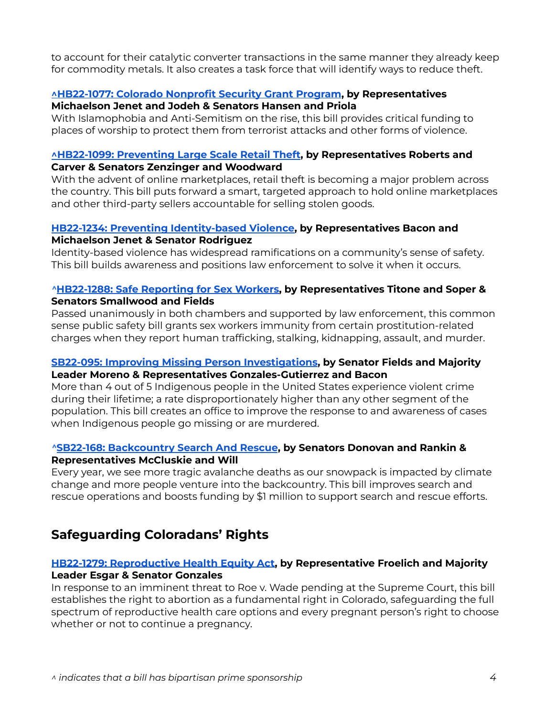to account for their catalytic converter transactions in the same manner they already keep for commodity metals. It also creates a task force that will identify ways to reduce theft.

#### **[^HB22-1077:](https://leg.colorado.gov/bills/hb22-1077) Colorado Nonprofit Security Grant Program, by Representatives Michaelson Jenet and Jodeh & Senators Hansen and Priola**

With Islamophobia and Anti-Semitism on the rise, this bill provides critical funding to places of worship to protect them from terrorist attacks and other forms of violence.

#### **[^HB22-1099:](https://leg.colorado.gov/bills/hb22-1099) Preventing Large Scale Retail Theft, by Representatives Roberts and Carver & Senators Zenzinger and Woodward**

With the advent of online marketplaces, retail theft is becoming a major problem across the country. This bill puts forward a smart, targeted approach to hold online marketplaces and other third-party sellers accountable for selling stolen goods.

#### **HB22-1234: Preventing [Identity-based](https://leg.colorado.gov/bills/hb22-1234) Violence, by Representatives Bacon and Michaelson Jenet & Senator Rodriguez**

Identity-based violence has widespread ramifications on a community's sense of safety. This bill builds awareness and positions law enforcement to solve it when it occurs.

#### *^***[HB22-1288:](https://leg.colorado.gov/bills/hb22-1288) Safe Reporting for Sex Workers, by Representatives Titone and Soper & Senators Smallwood and Fields**

Passed unanimously in both chambers and supported by law enforcement, this common sense public safety bill grants sex workers immunity from certain prostitution-related charges when they report human trafficking, stalking, kidnapping, assault, and murder.

#### **SB22-095: Improving Missing Person [Investigations](https://leg.colorado.gov/bills/sb22-095), by Senator Fields and Majority Leader Moreno & Representatives Gonzales-Gutierrez and Bacon**

More than 4 out of 5 Indigenous people in the United States experience violent crime during their lifetime; a rate disproportionately higher than any other segment of the population. This bill creates an office to improve the response to and awareness of cases when Indigenous people go missing or are murdered.

#### *^***SB22-168: [Backcountry](https://leg.colorado.gov/bills/sb22-168) Search And Rescue, by Senators Donovan and Rankin & Representatives McCluskie and Will**

Every year, we see more tragic avalanche deaths as our snowpack is impacted by climate change and more people venture into the backcountry. This bill improves search and rescue operations and boosts funding by \$1 million to support search and rescue efforts.

### <span id="page-3-0"></span>**Safeguarding Coloradans' Rights**

### **HB22-1279: [Reproductive](https://leg.colorado.gov/bills/hb22-1279) Health Equity Act, by Representative Froelich and Majority**

#### **Leader Esgar & Senator Gonzales** In response to an imminent threat to Roe v. Wade pending at the Supreme Court, this bill establishes the right to abortion as a fundamental right in Colorado, safeguarding the full spectrum of reproductive health care options and every pregnant person's right to choose whether or not to continue a pregnancy.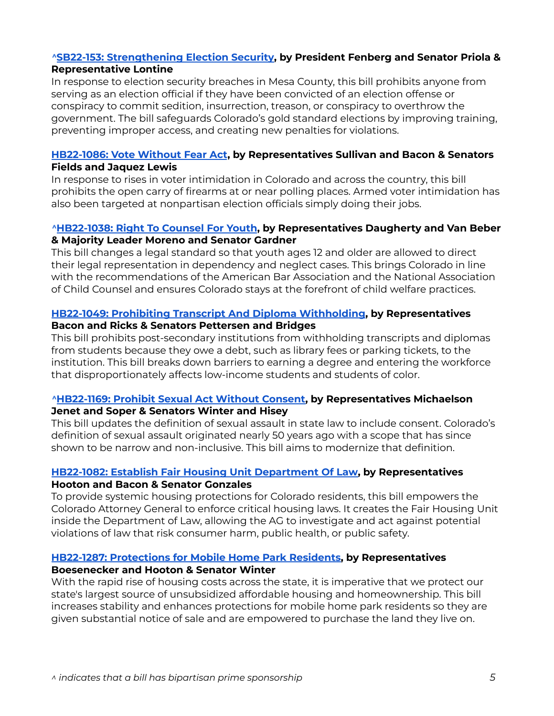#### *^***SB22-153: [Strengthening](https://leg.colorado.gov/bills/sb22-153) Election Security, by President Fenberg and Senator Priola & Representative Lontine**

In response to election security breaches in Mesa County, this bill prohibits anyone from serving as an election official if they have been convicted of an election offense or conspiracy to commit sedition, insurrection, treason, or conspiracy to overthrow the government. The bill safeguards Colorado's gold standard elections by improving training, preventing improper access, and creating new penalties for violations.

#### **[HB22-1086:](https://leg.colorado.gov/bills/hb22-1086) Vote Without Fear Act, by Representatives Sullivan and Bacon & Senators Fields and Jaquez Lewis**

In response to rises in voter intimidation in Colorado and across the country, this bill prohibits the open carry of firearms at or near polling places. Armed voter intimidation has also been targeted at nonpartisan election officials simply doing their jobs.

#### *^***[HB22-1038:](https://leg.colorado.gov/bills/hb22-1038) Right To Counsel For Youth, by Representatives Daugherty and Van Beber & Majority Leader Moreno and Senator Gardner**

This bill changes a legal standard so that youth ages 12 and older are allowed to direct their legal representation in dependency and neglect cases. This brings Colorado in line with the recommendations of the American Bar Association and the National Association of Child Counsel and ensures Colorado stays at the forefront of child welfare practices.

#### **HB22-1049: Prohibiting Transcript And Diploma [Withholding,](https://leg.colorado.gov/bills/hb22-1049) by Representatives Bacon and Ricks & Senators Pettersen and Bridges**

This bill prohibits post-secondary institutions from withholding transcripts and diplomas from students because they owe a debt, such as library fees or parking tickets, to the institution. This bill breaks down barriers to earning a degree and entering the workforce that disproportionately affects low-income students and students of color.

#### *^***[HB22-1169:](https://leg.colorado.gov/bills/hb22-1169) Prohibit Sexual Act Without Consent, by Representatives Michaelson**

#### **Jenet and Soper & Senators Winter and Hisey**

This bill updates the definition of sexual assault in state law to include consent. Colorado's definition of sexual assault originated nearly 50 years ago with a scope that has since shown to be narrow and non-inclusive. This bill aims to modernize that definition.

#### **HB22-1082: Establish Fair Housing Unit [Department](https://leg.colorado.gov/bills/hb22-1082) Of Law, by Representatives Hooton and Bacon & Senator Gonzales**

To provide systemic housing protections for Colorado residents, this bill empowers the Colorado Attorney General to enforce critical housing laws. It creates the Fair Housing Unit inside the Department of Law, allowing the AG to investigate and act against potential violations of law that risk consumer harm, public health, or public safety.

#### **HB22-1287: [Protections](https://leg.colorado.gov/bills/hb22-1287) for Mobile Home Park Residents, by Representatives**

#### **Boesenecker and Hooton & Senator Winter**

With the rapid rise of housing costs across the state, it is imperative that we protect our state's largest source of unsubsidized affordable housing and homeownership. This bill increases stability and enhances protections for mobile home park residents so they are given substantial notice of sale and are empowered to purchase the land they live on.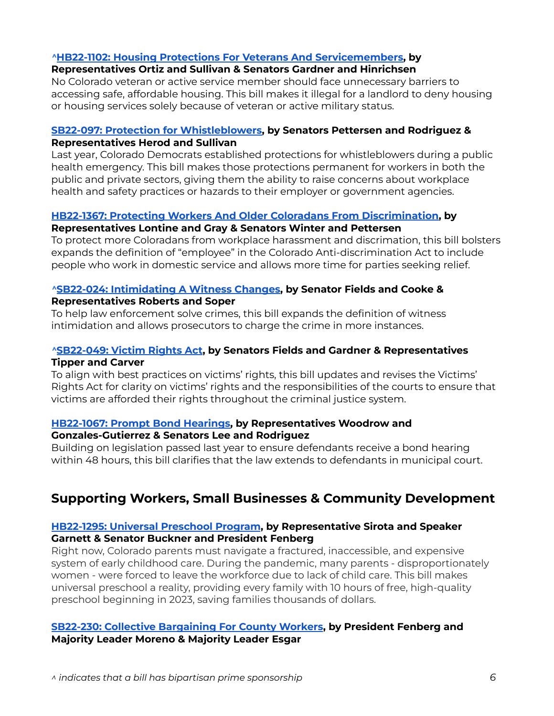#### *^***HB22-1102: Housing Protections For Veterans And [Servicemembers,](https://leg.colorado.gov/bills/hb22-1102) by**

#### **Representatives Ortiz and Sullivan & Senators Gardner and Hinrichsen**

No Colorado veteran or active service member should face unnecessary barriers to accessing safe, affordable housing. This bill makes it illegal for a landlord to deny housing or housing services solely because of veteran or active military status.

#### **SB22-097: Protection for [Whistleblowers,](https://leg.colorado.gov/bills/sb22-097) by Senators Pettersen and Rodriguez & Representatives Herod and Sullivan**

Last year, Colorado Democrats established protections for whistleblowers during a public health emergency. This bill makes those protections permanent for workers in both the public and private sectors, giving them the ability to raise concerns about workplace health and safety practices or hazards to their employer or government agencies.

#### **HB22-1367: Protecting Workers And Older Coloradans From [Discrimination](https://leg.colorado.gov/bills/hb22-1367), by**

#### **Representatives Lontine and Gray & Senators Winter and Pettersen**

To protect more Coloradans from workplace harassment and discrimation, this bill bolsters expands the definition of "employee" in the Colorado Anti-discrimination Act to include people who work in domestic service and allows more time for parties seeking relief.

#### *^***SB22-024: [Intimidating](https://leg.colorado.gov/bills/sb22-024) A Witness Changes, by Senator Fields and Cooke & Representatives Roberts and Soper**

To help law enforcement solve crimes, this bill expands the definition of witness intimidation and allows prosecutors to charge the crime in more instances.

#### *^***[SB22-049:](https://leg.colorado.gov/bills/sb22-049) Victim Rights Act, by Senators Fields and Gardner & Representatives Tipper and Carver**

To align with best practices on victims' rights, this bill updates and revises the Victims' Rights Act for clarity on victims' rights and the responsibilities of the courts to ensure that victims are afforded their rights throughout the criminal justice system.

#### **[HB22-1067:](https://leg.colorado.gov/bills/hb22-1067) Prompt Bond Hearings, by Representatives Woodrow and Gonzales-Gutierrez & Senators Lee and Rodriguez**

Building on legislation passed last year to ensure defendants receive a bond hearing within 48 hours, this bill clarifies that the law extends to defendants in municipal court.

### <span id="page-5-0"></span>**Supporting Workers, Small Businesses & Community Development**

#### **[HB22-1295:](https://leg.colorado.gov/bills/hb22-1295) Universal Preschool Program, by Representative Sirota and Speaker Garnett & Senator Buckner and President Fenberg**

Right now, Colorado parents must navigate a fractured, inaccessible, and expensive system of early childhood care. During the pandemic, many parents - disproportionately women - were forced to leave the workforce due to lack of child care. This bill makes universal preschool a reality, providing every family with 10 hours of free, high-quality preschool beginning in 2023, saving families thousands of dollars.

#### **SB22-230: Collective [Bargaining](https://leg.colorado.gov/bills/sb22-230) For County Workers, by President Fenberg and Majority Leader Moreno & Majority Leader Esgar**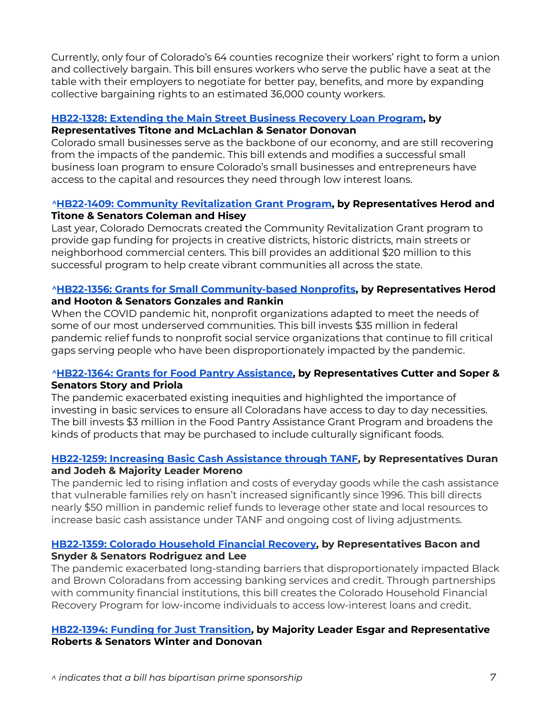Currently, only four of Colorado's 64 counties recognize their workers' right to form a union and collectively bargain. This bill ensures workers who serve the public have a seat at the table with their employers to negotiate for better pay, benefits, and more by expanding collective bargaining rights to an estimated 36,000 county workers.

#### **[HB22-1328:](https://leg.colorado.gov/bills/hb22-1328) Extending the Main Street Business Recovery Loan Program, by**

#### **Representatives Titone and McLachlan & Senator Donovan**

Colorado small businesses serve as the backbone of our economy, and are still recovering from the impacts of the pandemic. This bill extends and modifies a successful small business loan program to ensure Colorado's small businesses and entrepreneurs have access to the capital and resources they need through low interest loans.

#### *^***HB22-1409: Community [Revitalization](https://leg.colorado.gov/bills/hb22-1409) Grant Program, by Representatives Herod and Titone & Senators Coleman and Hisey**

Last year, Colorado Democrats created the Community Revitalization Grant program to provide gap funding for projects in creative districts, historic districts, main streets or neighborhood commercial centers. This bill provides an additional \$20 million to this successful program to help create vibrant communities all across the state.

#### *^***HB22-1356: Grants for Small [Community-based](https://leg.colorado.gov/bills/hb22-1356) Nonprofits, by Representatives Herod and Hooton & Senators Gonzales and Rankin**

When the COVID pandemic hit, nonprofit organizations adapted to meet the needs of some of our most underserved communities. This bill invests \$35 million in federal pandemic relief funds to nonprofit social service organizations that continue to fill critical gaps serving people who have been disproportionately impacted by the pandemic.

#### *^***[HB22-1364:](https://leg.colorado.gov/bills/hb22-1364) Grants for Food Pantry Assistance, by Representatives Cutter and Soper & Senators Story and Priola**

The pandemic exacerbated existing inequities and highlighted the importance of investing in basic services to ensure all Coloradans have access to day to day necessities. The bill invests \$3 million in the Food Pantry Assistance Grant Program and broadens the kinds of products that may be purchased to include culturally significant foods.

#### **HB22-1259: Increasing Basic Cash [Assistance](https://leg.colorado.gov/bills/hb22-1259) through TANF, by Representatives Duran and Jodeh & Majority Leader Moreno**

The pandemic led to rising inflation and costs of everyday goods while the cash assistance that vulnerable families rely on hasn't increased significantly since 1996. This bill directs nearly \$50 million in pandemic relief funds to leverage other state and local resources to increase basic cash assistance under TANF and ongoing cost of living adjustments.

#### **HB22-1359: Colorado [Household](https://leg.colorado.gov/bills/hb22-1359) Financial Recovery, by Representatives Bacon and Snyder & Senators Rodriguez and Lee**

The pandemic exacerbated long-standing barriers that disproportionately impacted Black and Brown Coloradans from accessing banking services and credit. Through partnerships with community financial institutions, this bill creates the Colorado Household Financial Recovery Program for low-income individuals to access low-interest loans and credit.

#### **[HB22-1394:](https://leg.colorado.gov/bills/hb22-1394) Funding for Just Transition, by Majority Leader Esgar and Representative Roberts & Senators Winter and Donovan**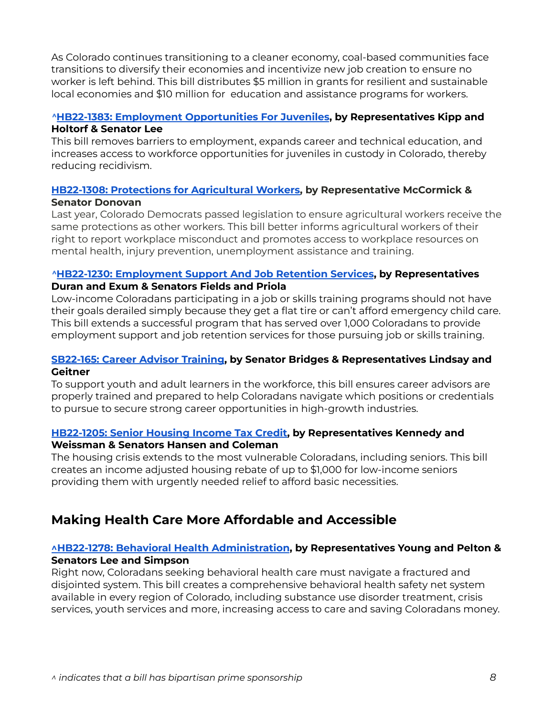As Colorado continues transitioning to a cleaner economy, coal-based communities face transitions to diversify their economies and incentivize new job creation to ensure no worker is left behind. This bill distributes \$5 million in grants for resilient and sustainable local economies and \$10 million for education and assistance programs for workers.

#### *^***HB22-1383: Employment [Opportunities](https://leg.colorado.gov/bills/hb22-1383) For Juveniles, by Representatives Kipp and Holtorf & Senator Lee**

This bill removes barriers to employment, expands career and technical education, and increases access to workforce opportunities for juveniles in custody in Colorado, thereby reducing recidivism.

#### **HB22-1308: Protections for [Agricultural](https://leg.colorado.gov/bills/hb22-1308) Workers, by Representative McCormick & Senator Donovan**

Last year, Colorado Democrats passed legislation to ensure agricultural workers receive the same protections as other workers. This bill better informs agricultural workers of their right to report workplace misconduct and promotes access to workplace resources on mental health, injury prevention, unemployment assistance and training.

#### *^***HB22-1230: [Employment](https://leg.colorado.gov/bills/hb22-1230) Support And Job Retention Services, by Representatives Duran and Exum & Senators Fields and Priola**

Low-income Coloradans participating in a job or skills training programs should not have their goals derailed simply because they get a flat tire or can't afford emergency child care. This bill extends a successful program that has served over 1,000 Coloradans to provide employment support and job retention services for those pursuing job or skills training.

#### **[SB22-165:](https://leg.colorado.gov/bills/sb22-165) Career Advisor Training, by Senator Bridges & Representatives Lindsay and Geitner**

To support youth and adult learners in the workforce, this bill ensures career advisors are properly trained and prepared to help Coloradans navigate which positions or credentials to pursue to secure strong career opportunities in high-growth industries.

#### **[HB22-1205:](https://leg.colorado.gov/bills/hb22-1205) Senior Housing Income Tax Credit, by Representatives Kennedy and Weissman & Senators Hansen and Coleman**

The housing crisis extends to the most vulnerable Coloradans, including seniors. This bill creates an income adjusted housing rebate of up to \$1,000 for low-income seniors providing them with urgently needed relief to afford basic necessities.

### <span id="page-7-0"></span>**Making Health Care More Affordable and Accessible**

#### **^HB22-1278: Behavioral Health [Administration](https://leg.colorado.gov/bills/hb22-1278), by Representatives Young and Pelton & Senators Lee and Simpson**

Right now, Coloradans seeking behavioral health care must navigate a fractured and disjointed system. This bill creates a comprehensive behavioral health safety net system available in every region of Colorado, including substance use disorder treatment, crisis services, youth services and more, increasing access to care and saving Coloradans money.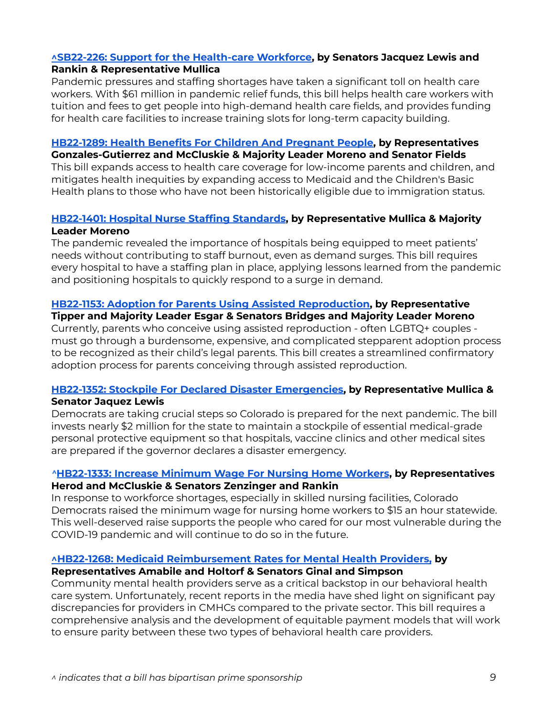#### **^SB22-226: Support for the [Health-care](https://leg.colorado.gov/bills/sb22-226) Workforce, by Senators Jacquez Lewis and Rankin & Representative Mullica**

Pandemic pressures and staffing shortages have taken a significant toll on health care workers. With \$61 million in pandemic relief funds, this bill helps health care workers with tuition and fees to get people into high-demand health care fields, and provides funding for health care facilities to increase training slots for long-term capacity building.

#### **[HB22-1289:](https://leg.colorado.gov/bills/hb22-1289) Health Benefits For Children And Pregnant People, by Representatives**

**Gonzales-Gutierrez and McCluskie & Majority Leader Moreno and Senator Fields**

This bill expands access to health care coverage for low-income parents and children, and mitigates health inequities by expanding access to Medicaid and the Children's Basic Health plans to those who have not been historically eligible due to immigration status.

#### **[HB22-1401:](https://leg.colorado.gov/bills/hb22-1401) Hospital Nurse Staffing Standards, by Representative Mullica & Majority Leader Moreno**

The pandemic revealed the importance of hospitals being equipped to meet patients' needs without contributing to staff burnout, even as demand surges. This bill requires every hospital to have a staffing plan in place, applying lessons learned from the pandemic and positioning hospitals to quickly respond to a surge in demand.

#### **HB22-1153: Adoption for Parents Using Assisted [Reproduction,](https://leg.colorado.gov/bills/hb22-1153) by Representative**

**Tipper and Majority Leader Esgar & Senators Bridges and Majority Leader Moreno**

Currently, parents who conceive using assisted reproduction - often LGBTQ+ couples must go through a burdensome, expensive, and complicated stepparent adoption process to be recognized as their child's legal parents. This bill creates a streamlined confirmatory adoption process for parents conceiving through assisted reproduction.

#### **HB22-1352: Stockpile For Declared Disaster [Emergencies,](https://leg.colorado.gov/bills/hb22-1352) by Representative Mullica & Senator Jaquez Lewis**

Democrats are taking crucial steps so Colorado is prepared for the next pandemic. The bill invests nearly \$2 million for the state to maintain a stockpile of essential medical-grade personal protective equipment so that hospitals, vaccine clinics and other medical sites are prepared if the governor declares a disaster emergency.

#### *^***[HB22-1333:](https://leg.colorado.gov/bills/hb22-1333) Increase Minimum Wage For Nursing Home Workers, by Representatives Herod and McCluskie & Senators Zenzinger and Rankin**

In response to workforce shortages, especially in skilled nursing facilities, Colorado Democrats raised the minimum wage for nursing home workers to \$15 an hour statewide. This well-deserved raise supports the people who cared for our most vulnerable during the COVID-19 pandemic and will continue to do so in the future.

#### **^HB22-1268: Medicaid [Reimbursement](https://leg.colorado.gov/bills/HB22-1268) Rates for Mental Health Providers, by**

#### **Representatives Amabile and Holtorf & Senators Ginal and Simpson**

Community mental health providers serve as a critical backstop in our behavioral health care system. Unfortunately, recent reports in the media have shed light on significant pay discrepancies for providers in CMHCs compared to the private sector. This bill requires a comprehensive analysis and the development of equitable payment models that will work to ensure parity between these two types of behavioral health care providers.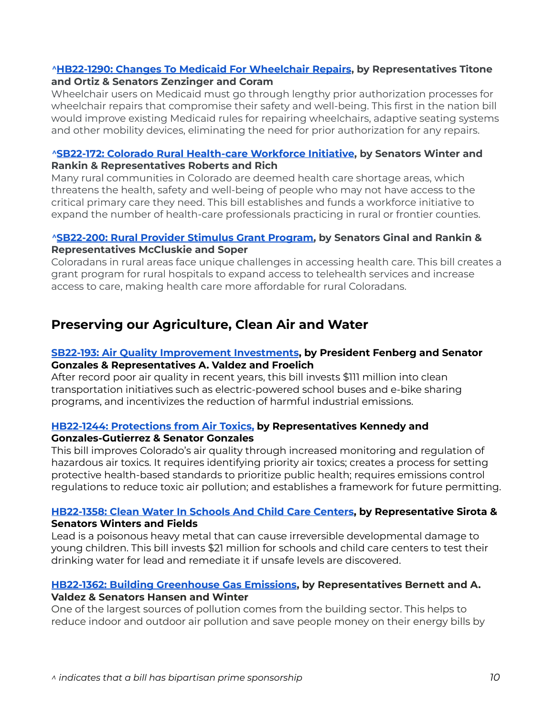#### *^***HB22-1290: Changes To Medicaid For [Wheelchair](https://leg.colorado.gov/bills/hb22-1290) Repairs, by Representatives Titone and Ortiz & Senators Zenzinger and Coram**

Wheelchair users on Medicaid must go through lengthy prior authorization processes for wheelchair repairs that compromise their safety and well-being. This first in the nation bill would improve existing Medicaid rules for repairing wheelchairs, adaptive seating systems and other mobility devices, eliminating the need for prior authorization for any repairs.

#### *^***SB22-172: Colorado Rural [Health-care](https://leg.colorado.gov/bills/sb22-172) Workforce Initiative, by Senators Winter and Rankin & Representatives Roberts and Rich**

Many rural communities in Colorado are deemed health care shortage areas, which threatens the health, safety and well-being of people who may not have access to the critical primary care they need. This bill establishes and funds a workforce initiative to expand the number of health-care professionals practicing in rural or frontier counties.

#### *^***[SB22-200:](https://leg.colorado.gov/bills/sb22-200) Rural Provider Stimulus Grant Program, by Senators Ginal and Rankin & Representatives McCluskie and Soper**

Coloradans in rural areas face unique challenges in accessing health care. This bill creates a grant program for rural hospitals to expand access to telehealth services and increase access to care, making health care more affordable for rural Coloradans.

### <span id="page-9-0"></span>**Preserving our Agriculture, Clean Air and Water**

#### **SB22-193: Air Quality [Improvement](https://leg.colorado.gov/bills/sb22-193) Investments, by President Fenberg and Senator Gonzales & Representatives A. Valdez and Froelich**

After record poor air quality in recent years, this bill invests \$111 million into clean transportation initiatives such as electric-powered school buses and e-bike sharing programs, and incentivizes the reduction of harmful industrial emissions.

### **HB22-1244: [Protections](https://leg.colorado.gov/bills/hb22-1244) from Air Toxics, by Representatives Kennedy and**

#### **Gonzales-Gutierrez & Senator Gonzales**

This bill improves Colorado's air quality through increased monitoring and regulation of hazardous air toxics. It requires identifying priority air toxics; creates a process for setting protective health-based standards to prioritize public health; requires emissions control regulations to reduce toxic air pollution; and establishes a framework for future permitting.

#### **[HB22-1358:](https://leg.colorado.gov/bills/hb22-1358) Clean Water In Schools And Child Care Centers, by Representative Sirota & Senators Winters and Fields**

Lead is a poisonous heavy metal that can cause irreversible developmental damage to young children. This bill invests \$21 million for schools and child care centers to test their drinking water for lead and remediate it if unsafe levels are discovered.

#### **HB22-1362: Building [Greenhouse](https://leg.colorado.gov/bills/hb22-1362) Gas Emissions, by Representatives Bernett and A. Valdez & Senators Hansen and Winter**

One of the largest sources of pollution comes from the building sector. This helps to reduce indoor and outdoor air pollution and save people money on their energy bills by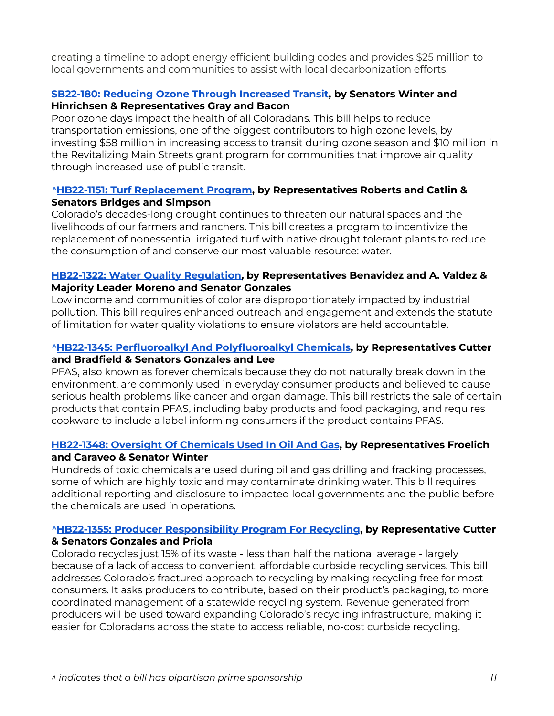creating a timeline to adopt energy efficient building codes and provides \$25 million to local governments and communities to assist with local decarbonization efforts.

#### **SB22-180: Reducing Ozone Through [Increased](https://leg.colorado.gov/bills/sb22-180) Transit, by Senators Winter and Hinrichsen & Representatives Gray and Bacon**

Poor ozone days impact the health of all Coloradans. This bill helps to reduce transportation emissions, one of the biggest contributors to high ozone levels, by investing \$58 million in increasing access to transit during ozone season and \$10 million in the Revitalizing Main Streets grant program for communities that improve air quality through increased use of public transit.

#### *^***HB22-1151: Turf [Replacement](https://leg.colorado.gov/bills/hb22-1151) Program, by Representatives Roberts and Catlin & Senators Bridges and Simpson**

Colorado's decades-long drought continues to threaten our natural spaces and the livelihoods of our farmers and ranchers. This bill creates a program to incentivize the replacement of nonessential irrigated turf with native drought tolerant plants to reduce the consumption of and conserve our most valuable resource: water.

#### **HB22-1322: Water Quality [Regulation,](https://leg.colorado.gov/bills/hb22-1322) by Representatives Benavidez and A. Valdez & Majority Leader Moreno and Senator Gonzales**

Low income and communities of color are disproportionately impacted by industrial pollution. This bill requires enhanced outreach and engagement and extends the statute of limitation for water quality violations to ensure violators are held accountable.

#### *^***HB22-1345: Perfluoroalkyl And [Polyfluoroalkyl](https://leg.colorado.gov/bills/hb22-1345) Chemicals, by Representatives Cutter and Bradfield & Senators Gonzales and Lee**

PFAS, also known as forever chemicals because they do not naturally break down in the environment, are commonly used in everyday consumer products and believed to cause serious health problems like cancer and organ damage. This bill restricts the sale of certain products that contain PFAS, including baby products and food packaging, and requires cookware to include a label informing consumers if the product contains PFAS.

#### **[HB22-1348:](https://leg.colorado.gov/bills/hb22-1348) Oversight Of Chemicals Used In Oil And Gas, by Representatives Froelich**

#### **and Caraveo & Senator Winter**

Hundreds of toxic chemicals are used during oil and gas drilling and fracking processes, some of which are highly toxic and may contaminate drinking water. This bill requires additional reporting and disclosure to impacted local governments and the public before the chemicals are used in operations.

#### *^***HB22-1355: Producer [Responsibility](https://leg.colorado.gov/bills/hb22-1355) Program For Recycling, by Representative Cutter & Senators Gonzales and Priola**

Colorado recycles just 15% of its waste - less than half the national average - largely because of a lack of access to convenient, affordable curbside recycling services. This bill addresses Colorado's fractured approach to recycling by making recycling free for most consumers. It asks producers to contribute, based on their product's packaging, to more coordinated management of a statewide recycling system. Revenue generated from producers will be used toward expanding Colorado's recycling infrastructure, making it easier for Coloradans across the state to access reliable, no-cost curbside recycling.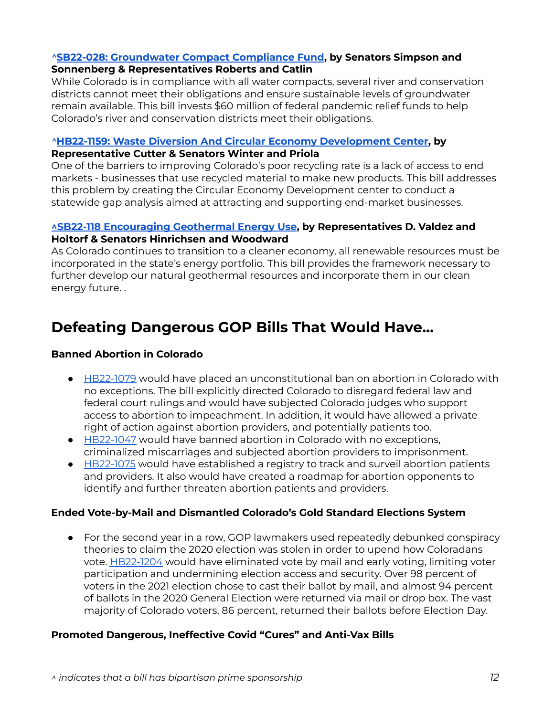#### *^***SB22-028: [Groundwater](https://leg.colorado.gov/bills/sb22-028) Compact Compliance Fund, by Senators Simpson and Sonnenberg & Representatives Roberts and Catlin**

While Colorado is in compliance with all water compacts, several river and conservation districts cannot meet their obligations and ensure sustainable levels of groundwater remain available. This bill invests \$60 million of federal pandemic relief funds to help Colorado's river and conservation districts meet their obligations.

#### *^***HB22-1159: Waste Diversion And Circular Economy [Development](https://leg.colorado.gov/bills/hb22-1159) Center, by Representative Cutter & Senators Winter and Priola**

One of the barriers to improving Colorado's poor recycling rate is a lack of access to end markets - businesses that use recycled material to make new products. This bill addresses this problem by creating the Circular Economy Development center to conduct a statewide gap analysis aimed at attracting and supporting end-market businesses.

#### **^SB22-118 [Encouraging](https://leg.colorado.gov/bills/sb22-118) Geothermal Energy Use, by Representatives D. Valdez and Holtorf & Senators Hinrichsen and Woodward**

As Colorado continues to transition to a cleaner economy, all renewable resources must be incorporated in the state's energy portfolio. This bill provides the framework necessary to further develop our natural geothermal resources and incorporate them in our clean energy future. .

# <span id="page-11-0"></span>**Defeating Dangerous GOP Bills That Would Have…**

#### **Banned Abortion in Colorado**

- [HB22-1079](https://leg.colorado.gov/bills/hb22-1079) would have placed an unconstitutional ban on abortion in Colorado with no exceptions. The bill explicitly directed Colorado to disregard federal law and federal court rulings and would have subjected Colorado judges who support access to abortion to impeachment. In addition, it would have allowed a private right of action against abortion providers, and potentially patients too.
- [HB22-1047](https://leg.colorado.gov/bills/hb22-1047) would have banned abortion in Colorado with no exceptions, criminalized miscarriages and subjected abortion providers to imprisonment.
- [HB22-1075](https://leg.colorado.gov/bills/hb22-1075) would have established a registry to track and surveil abortion patients and providers. It also would have created a roadmap for abortion opponents to identify and further threaten abortion patients and providers.

#### **Ended Vote-by-Mail and Dismantled Colorado's Gold Standard Elections System**

● For the second year in a row, GOP lawmakers used repeatedly debunked conspiracy theories to claim the 2020 election was stolen in order to upend how Coloradans vote. [HB22-1204](https://leg.colorado.gov/bills/hb22-1204) would have eliminated vote by mail and early voting, limiting voter participation and undermining election access and security. Over 98 percent of voters in the 2021 election chose to cast their ballot by mail, and almost 94 percent of ballots in the 2020 General Election were returned via mail or drop box. The vast majority of Colorado voters, 86 percent, returned their ballots before Election Day.

#### **Promoted Dangerous, Ineffective Covid "Cures" and Anti-Vax Bills**